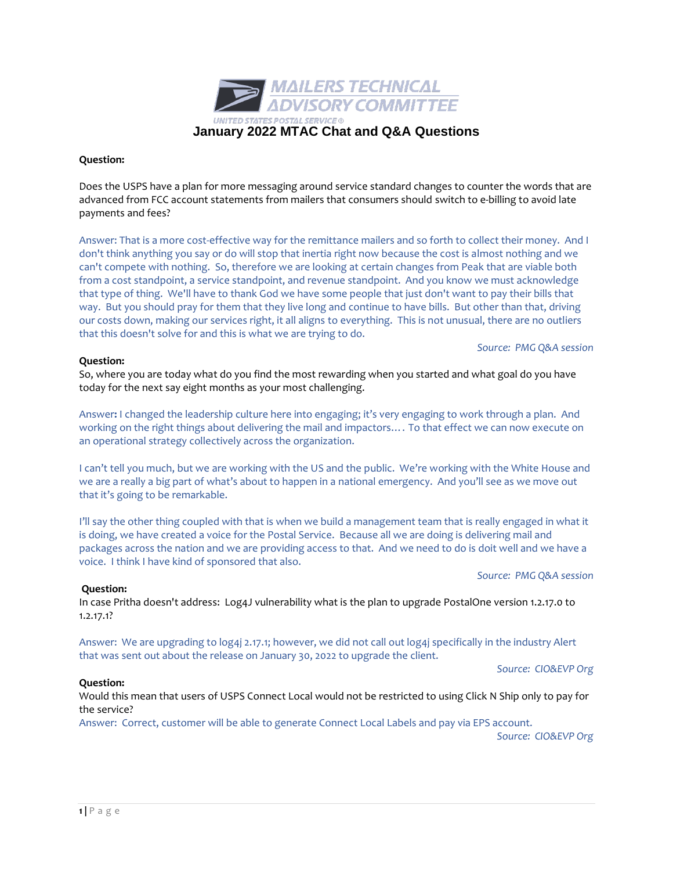**Question:**

**Question:**

Would this mean that users of USPS Connect Local would not be restricted to using Click N Ship only to pay for the service?

Answer: Correct, customer will be able to generate Connect Local Labels and pay via EPS account. *Source: CIO&EVP Org* 

1.2.17.1? Answer: We are upgrading to log4j 2.17.1; however, we did not call out log4j specifically in the industry Alert

that was sent out about the release on January 30, 2022 to upgrade the client.

In case Pritha doesn't address: Log4J vulnerability what is the plan to upgrade PostalOne version 1.2.17.0 to

that it's going to be remarkable. I'll say the other thing coupled with that is when we build a management team that is really engaged in what it is doing, we have created a voice for the Postal Service. Because all we are doing is delivering mail and

packages across the nation and we are providing access to that. And we need to do is doit well and we have a

an operational strategy collectively across the organization.

I can't tell you much, but we are working with the US and the public. We're working with the White House and we are a really a big part of what's about to happen in a national emergency. And you'll see as we move out

Answer**:** I changed the leadership culture here into engaging; it's very engaging to work through a plan. And working on the right things about delivering the mail and impactors…. To that effect we can now execute on

our costs down, making our services right, it all aligns to everything. This is not unusual, there are no outliers that this doesn't solve for and this is what we are trying to do. **Question:**

So, where you are today what do you find the most rewarding when you started and what goal do you have

today for the next say eight months as your most challenging.

voice. I think I have kind of sponsored that also.

Does the USPS have a plan for more messaging around service standard changes to counter the words that are advanced from FCC account statements from mailers that consumers should switch to e-billing to avoid late payments and fees?

Answer: That is a more cost-effective way for the remittance mailers and so forth to collect their money. And I don't think anything you say or do will stop that inertia right now because the cost is almost nothing and we can't compete with nothing. So, therefore we are looking at certain changes from Peak that are viable both from a cost standpoint, a service standpoint, and revenue standpoint. And you know we must acknowledge that type of thing. We'll have to thank God we have some people that just don't want to pay their bills that way. But you should pray for them that they live long and continue to have bills. But other than that, driving

**MAILERS TECHNICAL<br>ADVISORY COMMITTEE TATES POSTAL SERVICE ®** 



*Source: PMG Q&A session*

*Source: PMG Q&A session*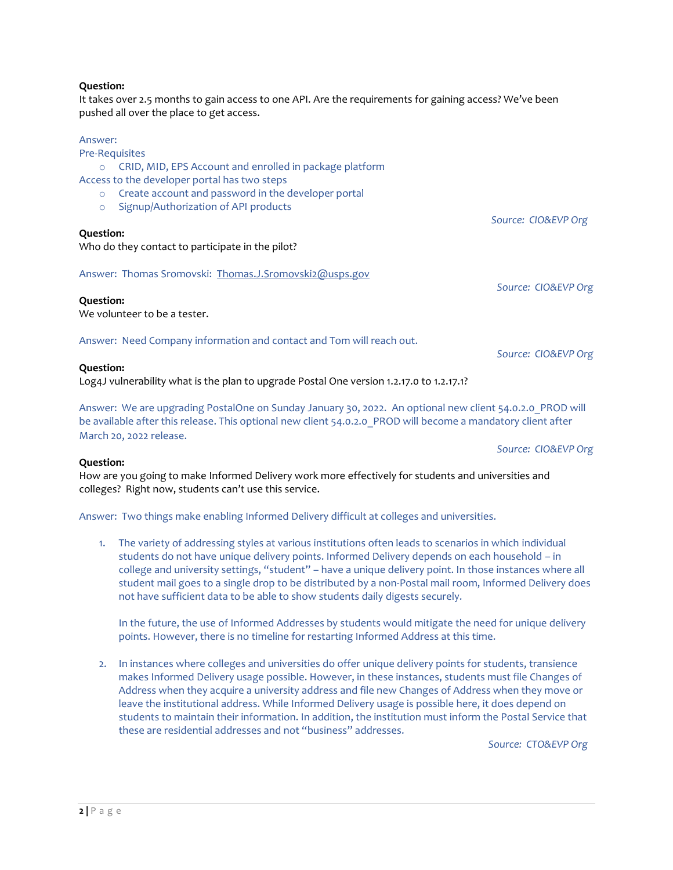It takes over 2.5 months to gain access to one API. Are the requirements for gaining access? We've been pushed all over the place to get access.

#### Answer:

Pre-Requisites

o CRID, MID, EPS Account and enrolled in package platform

#### Access to the developer portal has two steps

- o Create account and password in the developer portal
- o Signup/Authorization of API products

#### **Question:**

Who do they contact to participate in the pilot?

Answer: Thomas Sromovski: [Thomas.J.Sromovski2@usps.gov](mailto:Thomas.J.Sromovski2@usps.gov)

#### **Question:**

We volunteer to be a tester.

Answer: Need Company information and contact and Tom will reach out.

## **Question:**

Log4J vulnerability what is the plan to upgrade Postal One version 1.2.17.0 to 1.2.17.1?

Answer: We are upgrading PostalOne on Sunday January 30, 2022. An optional new client 54.0.2.0\_PROD will be available after this release. This optional new client 54.0.2.0 PROD will become a mandatory client after March 20, 2022 release.

*Source: CIO&EVP Org* 

*Source: CIO&EVP Org*

*Source: CIO&EVP Org* 

*Source: CIO&EVP Org* 

#### **Question:**

How are you going to make Informed Delivery work more effectively for students and universities and colleges? Right now, students can't use this service.

Answer: Two things make enabling Informed Delivery difficult at colleges and universities.

1. The variety of addressing styles at various institutions often leads to scenarios in which individual students do not have unique delivery points. Informed Delivery depends on each household – in college and university settings, "student" – have a unique delivery point. In those instances where all student mail goes to a single drop to be distributed by a non-Postal mail room, Informed Delivery does not have sufficient data to be able to show students daily digests securely.

In the future, the use of Informed Addresses by students would mitigate the need for unique delivery points. However, there is no timeline for restarting Informed Address at this time.

2. In instances where colleges and universities do offer unique delivery points for students, transience makes Informed Delivery usage possible. However, in these instances, students must file Changes of Address when they acquire a university address and file new Changes of Address when they move or leave the institutional address. While Informed Delivery usage is possible here, it does depend on students to maintain their information. In addition, the institution must inform the Postal Service that these are residential addresses and not "business" addresses.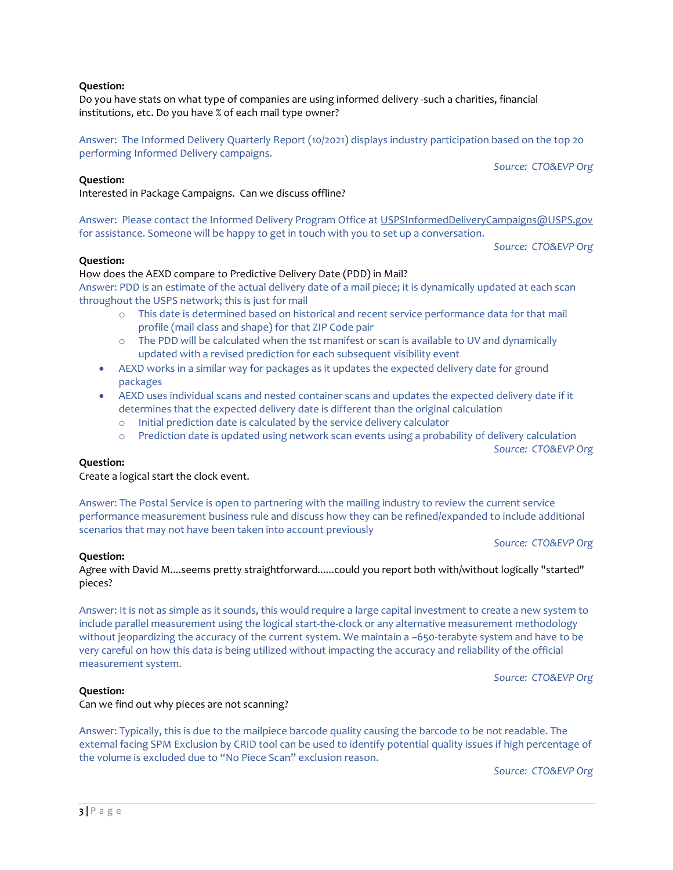Do you have stats on what type of companies are using informed delivery -such a charities, financial institutions, etc. Do you have % of each mail type owner?

Answer: The Informed Delivery Quarterly Report (10/2021) displays industry participation based on the top 20 performing Informed Delivery campaigns.

**Question:**

Interested in Package Campaigns. Can we discuss offline?

Answer: Please contact the Informed Delivery Program Office at [USPSInformedDeliveryCampaigns@USPS.gov](mailto:USPSInformedDeliveryCampaigns@USPS.gov) for assistance. Someone will be happy to get in touch with you to set up a conversation.

*Source: CTO&EVP Org*

*Source: CTO&EVP Org*

## **Question:**

## How does the AEXD compare to Predictive Delivery Date (PDD) in Mail?

Answer: PDD is an estimate of the actual delivery date of a mail piece; it is dynamically updated at each scan throughout the USPS network; this is just for mail

- o This date is determined based on historical and recent service performance data for that mail profile (mail class and shape) for that ZIP Code pair
- o The PDD will be calculated when the 1st manifest or scan is available to UV and dynamically updated with a revised prediction for each subsequent visibility event
- AEXD works in a similar way for packages as it updates the expected delivery date for ground packages
- AEXD uses individual scans and nested container scans and updates the expected delivery date if it determines that the expected delivery date is different than the original calculation
	- o Initial prediction date is calculated by the service delivery calculator
	- o Prediction date is updated using network scan events using a probability of delivery calculation

*Source: CTO&EVP Org*

#### **Question:**

Create a logical start the clock event.

Answer: The Postal Service is open to partnering with the mailing industry to review the current service performance measurement business rule and discuss how they can be refined/expanded to include additional scenarios that may not have been taken into account previously

# *Source: CTO&EVP Org*

#### **Question:**

Agree with David M....seems pretty straightforward......could you report both with/without logically "started" pieces?

Answer: It is not as simple as it sounds, this would require a large capital investment to create a new system to include parallel measurement using the logical start-the-clock or any alternative measurement methodology without jeopardizing the accuracy of the current system. We maintain a ~650-terabyte system and have to be very careful on how this data is being utilized without impacting the accuracy and reliability of the official measurement system.

*Source: CTO&EVP Org*

# **Question:**

Can we find out why pieces are not scanning?

Answer: Typically, this is due to the mailpiece barcode quality causing the barcode to be not readable. The external facing SPM Exclusion by CRID tool can be used to identify potential quality issues if high percentage of the volume is excluded due to "No Piece Scan" exclusion reason.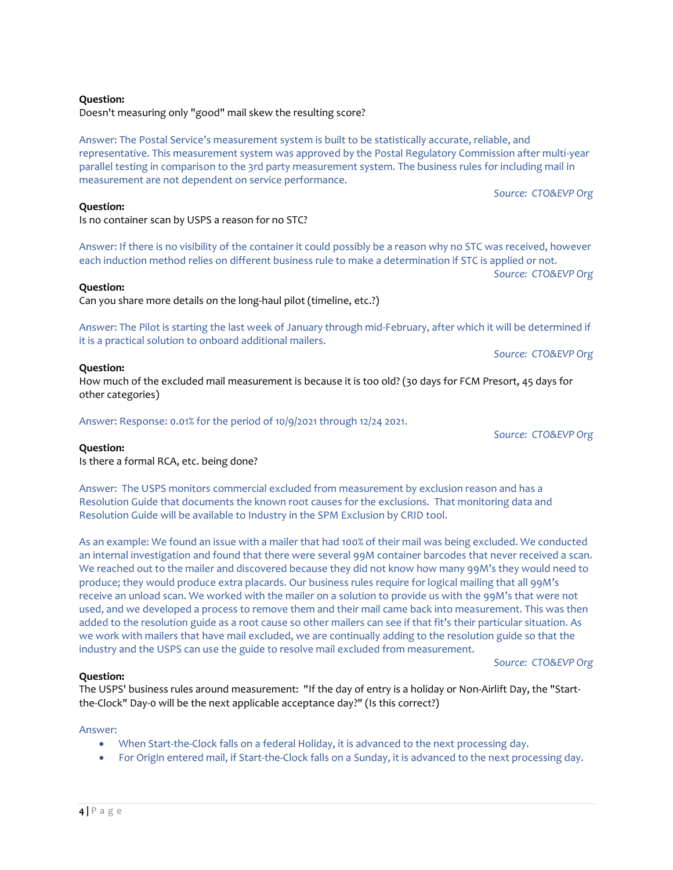Doesn't measuring only "good" mail skew the resulting score?

Is no container scan by USPS a reason for no STC?

Answer: The Postal Service's measurement system is built to be statistically accurate, reliable, and representative. This measurement system was approved by the Postal Regulatory Commission after multi-year parallel testing in comparison to the 3rd party measurement system. The business rules for including mail in measurement are not dependent on service performance.

*Source: CTO&EVP Org*

Answer: If there is no visibility of the container it could possibly be a reason why no STC was received, however each induction method relies on different business rule to make a determination if STC is applied or not. *Source: CTO&EVP Org*

**Question:**

**Question:**

Can you share more details on the long-haul pilot (timeline, etc.?)

Answer: The Pilot is starting the last week of January through mid-February, after which it will be determined if it is a practical solution to onboard additional mailers.

*Source: CTO&EVP Org*

**Question:**

How much of the excluded mail measurement is because it is too old? (30 days for FCM Presort, 45 days for other categories)

Answer: Response: 0.01% for the period of 10/9/2021 through 12/24 2021.

#### **Question:**

Is there a formal RCA, etc. being done?

Answer: The USPS monitors commercial excluded from measurement by exclusion reason and has a Resolution Guide that documents the known root causes for the exclusions. That monitoring data and Resolution Guide will be available to Industry in the SPM Exclusion by CRID tool.

As an example: We found an issue with a mailer that had 100% of their mail was being excluded. We conducted an internal investigation and found that there were several 99M container barcodes that never received a scan. We reached out to the mailer and discovered because they did not know how many 99M's they would need to produce; they would produce extra placards. Our business rules require for logical mailing that all 99M's receive an unload scan. We worked with the mailer on a solution to provide us with the 99M's that were not used, and we developed a process to remove them and their mail came back into measurement. This was then added to the resolution guide as a root cause so other mailers can see if that fit's their particular situation. As we work with mailers that have mail excluded, we are continually adding to the resolution guide so that the industry and the USPS can use the guide to resolve mail excluded from measurement.

*Source: CTO&EVP Org*

## **Question:**

The USPS' business rules around measurement: "If the day of entry is a holiday or Non-Airlift Day, the "Startthe-Clock" Day-0 will be the next applicable acceptance day?" (Is this correct?)

#### Answer:

- When Start-the-Clock falls on a federal Holiday, it is advanced to the next processing day.
- For Origin entered mail, if Start-the-Clock falls on a Sunday, it is advanced to the next processing day.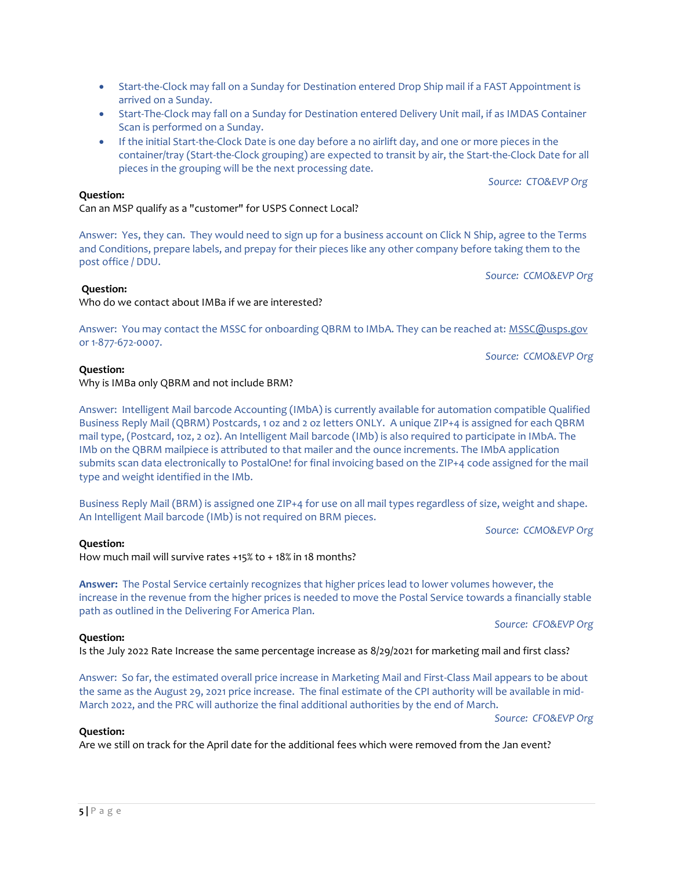- Start-the-Clock may fall on a Sunday for Destination entered Drop Ship mail if a FAST Appointment is arrived on a Sunday.
- Start-The-Clock may fall on a Sunday for Destination entered Delivery Unit mail, if as IMDAS Container Scan is performed on a Sunday.
- If the initial Start-the-Clock Date is one day before a no airlift day, and one or more pieces in the container/tray (Start-the-Clock grouping) are expected to transit by air, the Start-the-Clock Date for all pieces in the grouping will be the next processing date.

*Source: CTO&EVP Org*

# **Question:**

# Can an MSP qualify as a "customer" for USPS Connect Local?

Answer: Yes, they can. They would need to sign up for a business account on Click N Ship, agree to the Terms and Conditions, prepare labels, and prepay for their pieces like any other company before taking them to the post office / DDU.

*Source: CCMO&EVP Org*

# **Question:**

Who do we contact about IMBa if we are interested?

Answer: You may contact the MSSC for onboarding QBRM to IMbA. They can be reached at: [MSSC@usps.gov](mailto:MSSC@usps.gov) or 1-877-672-0007.

*Source: CCMO&EVP Org*

# **Question:**

# Why is IMBa only QBRM and not include BRM?

Answer: Intelligent Mail barcode Accounting (IMbA) is currently available for automation compatible Qualified Business Reply Mail (QBRM) Postcards, 1 oz and 2 oz letters ONLY. A unique ZIP+4 is assigned for each QBRM mail type, (Postcard, 1oz, 2 oz). An Intelligent Mail barcode (IMb) is also required to participate in IMbA. The IMb on the QBRM mailpiece is attributed to that mailer and the ounce increments. The IMbA application submits scan data electronically to PostalOne! for final invoicing based on the ZIP+4 code assigned for the mail type and weight identified in the IMb.

Business Reply Mail (BRM) is assigned one ZIP+4 for use on all mail types regardless of size, weight and shape. An Intelligent Mail barcode (IMb) is not required on BRM pieces.

*Source: CCMO&EVP Org*

# **Question:**

How much mail will survive rates +15% to + 18% in 18 months?

**Answer:** The Postal Service certainly recognizes that higher prices lead to lower volumes however, the increase in the revenue from the higher prices is needed to move the Postal Service towards a financially stable path as outlined in the Delivering For America Plan.

*Source: CFO&EVP Org*

# **Question:**

Is the July 2022 Rate Increase the same percentage increase as 8/29/2021 for marketing mail and first class?

Answer: So far, the estimated overall price increase in Marketing Mail and First-Class Mail appears to be about the same as the August 29, 2021 price increase. The final estimate of the CPI authority will be available in mid-March 2022, and the PRC will authorize the final additional authorities by the end of March.

*Source: CFO&EVP Org*

# **Question:**

Are we still on track for the April date for the additional fees which were removed from the Jan event?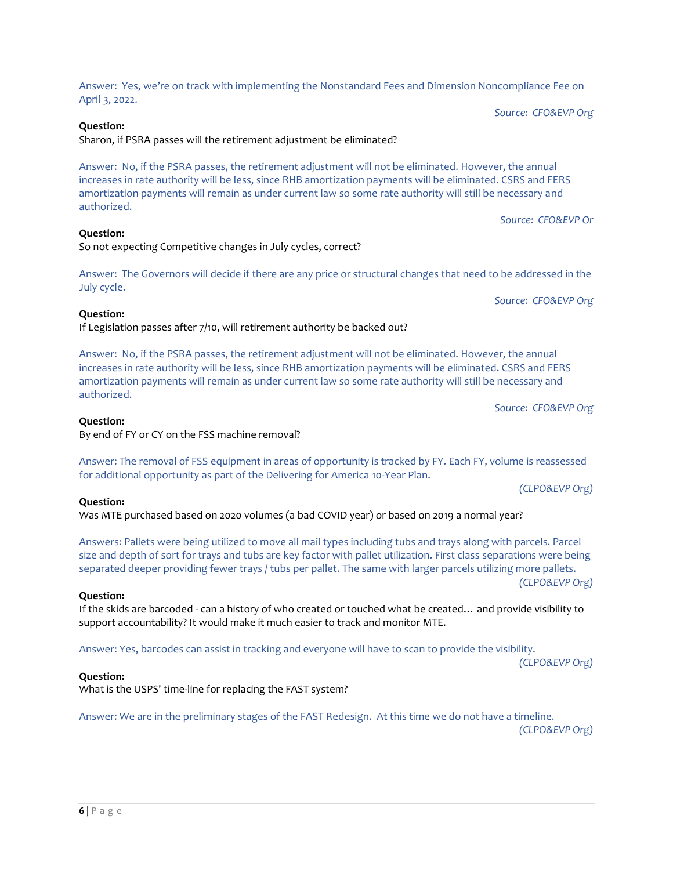Answer: Yes, we're on track with implementing the Nonstandard Fees and Dimension Noncompliance Fee on April 3, 2022.

*Source: CFO&EVP Org*

## **Question:**

Sharon, if PSRA passes will the retirement adjustment be eliminated?

Answer: No, if the PSRA passes, the retirement adjustment will not be eliminated. However, the annual increases in rate authority will be less, since RHB amortization payments will be eliminated. CSRS and FERS amortization payments will remain as under current law so some rate authority will still be necessary and authorized.

*Source: CFO&EVP Or*

Answer: The Governors will decide if there are any price or structural changes that need to be addressed in the

*Source: CFO&EVP Org*

# **Question:**

July cycle.

**Question:**

If Legislation passes after 7/10, will retirement authority be backed out?

So not expecting Competitive changes in July cycles, correct?

Answer: No, if the PSRA passes, the retirement adjustment will not be eliminated. However, the annual increases in rate authority will be less, since RHB amortization payments will be eliminated. CSRS and FERS amortization payments will remain as under current law so some rate authority will still be necessary and authorized.

*Source: CFO&EVP Org*

## **Question:**

By end of FY or CY on the FSS machine removal?

Answer: The removal of FSS equipment in areas of opportunity is tracked by FY. Each FY, volume is reassessed for additional opportunity as part of the Delivering for America 10-Year Plan.

*(CLPO&EVP Org)*

#### **Question:**

Was MTE purchased based on 2020 volumes (a bad COVID year) or based on 2019 a normal year?

Answers: Pallets were being utilized to move all mail types including tubs and trays along with parcels. Parcel size and depth of sort for trays and tubs are key factor with pallet utilization. First class separations were being separated deeper providing fewer trays / tubs per pallet. The same with larger parcels utilizing more pallets. *(CLPO&EVP Org)*

#### **Question:**

If the skids are barcoded - can a history of who created or touched what be created… and provide visibility to support accountability? It would make it much easier to track and monitor MTE.

Answer: Yes, barcodes can assist in tracking and everyone will have to scan to provide the visibility.

*(CLPO&EVP Org)*

# **Question:**

What is the USPS' time-line for replacing the FAST system?

Answer: We are in the preliminary stages of the FAST Redesign. At this time we do not have a timeline.

*(CLPO&EVP Org)*